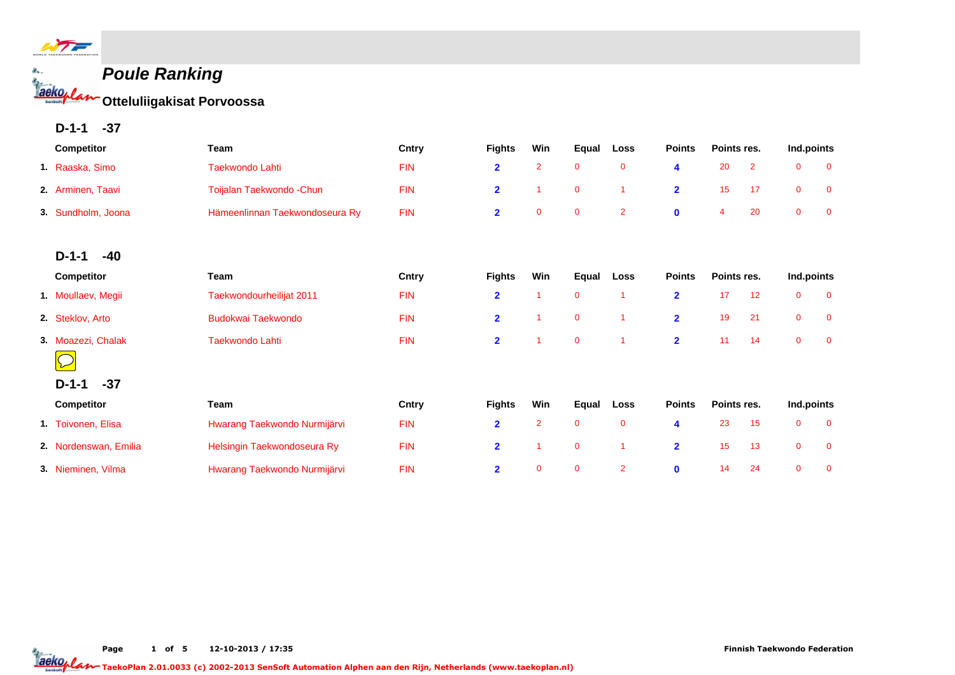

**Poule Ranking Otteluliigakisat Porvoossa**

**D-1-1 -37**

|    | Competitor            | Team                           | Cntry      | <b>Fights</b>           | Win            | Equal       | Loss           | <b>Points</b>  | Points res.    |                | Ind.points   |                |
|----|-----------------------|--------------------------------|------------|-------------------------|----------------|-------------|----------------|----------------|----------------|----------------|--------------|----------------|
|    | 1. Raaska, Simo       | <b>Taekwondo Lahti</b>         | <b>FIN</b> | $\overline{\mathbf{2}}$ | $\overline{2}$ | $\mathbf 0$ | $\mathbf 0$    | 4              | 20             | $\overline{2}$ | $\mathbf 0$  | $\mathbf 0$    |
|    | 2. Arminen, Taavi     | Toijalan Taekwondo - Chun      | <b>FIN</b> | $\overline{2}$          |                | $\mathbf 0$ | -1             | $\overline{2}$ | 15             | 17             | $\mathbf 0$  | $\mathbf 0$    |
| 3. | Sundholm, Joona       | Hämeenlinnan Taekwondoseura Ry | <b>FIN</b> | $\overline{\mathbf{2}}$ | $\mathbf 0$    | $\mathbf 0$ | $\overline{2}$ | $\mathbf 0$    | $\overline{4}$ | 20             | $\mathbf 0$  | $\mathbf 0$    |
|    | $-40$<br>$D-1-1$      |                                |            |                         |                |             |                |                |                |                |              |                |
|    | Competitor            | <b>Team</b>                    | Cntry      | <b>Fights</b>           | Win            | Equal       | Loss           | <b>Points</b>  | Points res.    |                | Ind.points   |                |
|    | 1. Moullaev, Megii    | Taekwondourheilijat 2011       | <b>FIN</b> | $\mathbf{2}$            |                | $\mathbf 0$ | -1             | $\overline{2}$ | 17             | 12             | $\mathbf 0$  | $\mathbf 0$    |
|    | 2. Steklov, Arto      | <b>Budokwai Taekwondo</b>      | <b>FIN</b> | $\overline{2}$          |                | $\mathbf 0$ | -1             | $\overline{2}$ | 19             | 21             | $\mathbf{0}$ | $\overline{0}$ |
|    | 3. Moazezi, Chalak    | <b>Taekwondo Lahti</b>         | <b>FIN</b> | $\overline{2}$          |                | $\mathbf 0$ | -1             | $\overline{2}$ | 11             | 14             | $\mathbf{0}$ | $\overline{0}$ |
|    |                       |                                |            |                         |                |             |                |                |                |                |              |                |
|    | $-37$<br>$D-1-1$      |                                |            |                         |                |             |                |                |                |                |              |                |
|    | Competitor            | <b>Team</b>                    | Cntry      | <b>Fights</b>           | Win            | Equal       | Loss           | <b>Points</b>  | Points res.    |                | Ind.points   |                |
|    | 1. Toivonen, Elisa    | Hwarang Taekwondo Nurmijärvi   | <b>FIN</b> | $\overline{2}$          | $\overline{2}$ | $\mathbf 0$ | $\mathbf 0$    | 4              | 23             | 15             | $\mathbf{0}$ | $\overline{0}$ |
|    | 2. Nordenswan, Emilia | Helsingin Taekwondoseura Ry    | <b>FIN</b> | $\overline{2}$          |                | $\mathbf 0$ | $\overline{1}$ | $\overline{2}$ | 15             | 13             | $\mathbf 0$  | $\mathbf 0$    |
|    | 3. Nieminen, Vilma    | Hwarang Taekwondo Nurmijärvi   | <b>FIN</b> | $\overline{2}$          | $\mathbf{0}$   | $\mathbf 0$ | $\overline{2}$ | $\mathbf 0$    | 14             | 24             | $\mathbf{0}$ | $\overline{0}$ |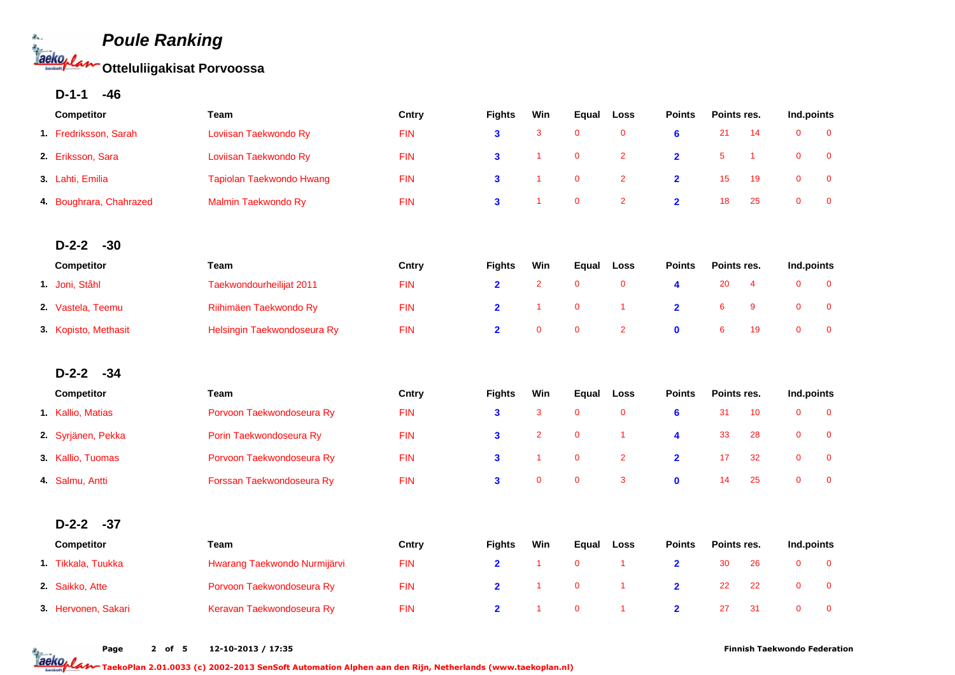

**D-1-1 -46**

| Competitor              | Team                         | Cntry      | <b>Fights</b>           | Win                  | Equal        | Loss                 | <b>Points</b>           | Points res. |                      | Ind.points   |              |
|-------------------------|------------------------------|------------|-------------------------|----------------------|--------------|----------------------|-------------------------|-------------|----------------------|--------------|--------------|
| 1. Fredriksson, Sarah   | Loviisan Taekwondo Ry        | <b>FIN</b> | $\mathbf{3}$            | 3                    | $\mathbf{0}$ | $\overline{0}$       | 6                       | 21          | 14                   | $\Omega$     | $\Omega$     |
| 2. Eriksson, Sara       | Loviisan Taekwondo Ry        | <b>FIN</b> | 3                       | 1                    | $\mathbf 0$  | $\overline{2}$       | $\overline{\mathbf{2}}$ | 5           | $\blacktriangleleft$ | $\mathbf 0$  | $\mathbf 0$  |
| 3. Lahti, Emilia        | Tapiolan Taekwondo Hwang     | <b>FIN</b> | 3                       | $\blacktriangleleft$ | $\mathbf 0$  | $\overline{2}$       | $\overline{\mathbf{2}}$ | 15          | 19                   | $\mathbf 0$  | $\mathbf 0$  |
| 4. Boughrara, Chahrazed | Malmin Taekwondo Ry          | <b>FIN</b> | $\overline{\mathbf{3}}$ | 1                    | $\mathbf{0}$ | $\overline{2}$       | $\overline{2}$          | 18          | 25                   | $\mathbf{0}$ | $\mathbf{0}$ |
|                         |                              |            |                         |                      |              |                      |                         |             |                      |              |              |
| $D-2-2$<br>$-30$        |                              |            |                         |                      |              |                      |                         |             |                      |              |              |
| Competitor              | Team                         | Cntry      | <b>Fights</b>           | Win                  | Equal        | <b>Loss</b>          | <b>Points</b>           | Points res. |                      | Ind.points   |              |
| 1. Joni, Ståhl          | Taekwondourheilijat 2011     | <b>FIN</b> | $\overline{2}$          | $\overline{2}$       | $\mathbf 0$  | $\overline{0}$       | 4                       | 20          | $\overline{4}$       | $\Omega$     | $\mathbf{0}$ |
| 2. Vastela, Teemu       | Riihimäen Taekwondo Ry       | <b>FIN</b> | $\overline{2}$          | 1                    | $\mathbf 0$  | $\mathbf{1}$         | $\overline{\mathbf{2}}$ | 6           | 9                    | $\mathbf 0$  | $\mathbf 0$  |
| 3. Kopisto, Methasit    | Helsingin Taekwondoseura Ry  | <b>FIN</b> | $\overline{2}$          | $\mathbf 0$          | $\mathbf 0$  | $\overline{2}$       | $\mathbf 0$             | 6           | 19                   | $\mathbf 0$  | $\mathbf 0$  |
| $D-2-2$<br>$-34$        |                              |            |                         |                      |              |                      |                         |             |                      |              |              |
| Competitor              | Team                         | Cntry      | <b>Fights</b>           | Win                  | Equal        | Loss                 | <b>Points</b>           | Points res. |                      | Ind.points   |              |
| 1. Kallio, Matias       | Porvoon Taekwondoseura Ry    | <b>FIN</b> | 3                       | 3                    | $\mathbf 0$  | $\mathbf 0$          | 6                       | 31          | 10                   | $\mathbf 0$  | $\mathbf 0$  |
| 2. Syrjänen, Pekka      | Porin Taekwondoseura Ry      | <b>FIN</b> | $\overline{\mathbf{3}}$ | $\overline{2}$       | $\mathbf 0$  | $\blacktriangleleft$ | $\overline{\mathbf{4}}$ | 33          | 28                   | $\mathbf 0$  | $\mathbf 0$  |
| 3. Kallio, Tuomas       | Porvoon Taekwondoseura Ry    | <b>FIN</b> | 3                       | 1                    | $\mathbf 0$  | $\overline{2}$       | $\overline{2}$          | 17          | 32                   | $\mathbf 0$  | $\mathbf 0$  |
| 4. Salmu, Antti         | Forssan Taekwondoseura Ry    | <b>FIN</b> | $\overline{\mathbf{3}}$ | $\mathbf 0$          | $\mathbf 0$  | $\mathbf{3}$         | $\mathbf 0$             | 14          | 25                   | $\mathbf 0$  | $\mathbf 0$  |
| $D-2-2$                 |                              |            |                         |                      |              |                      |                         |             |                      |              |              |
| $-37$                   |                              |            |                         |                      |              |                      |                         |             |                      |              |              |
| Competitor              | Team                         | Cntry      | <b>Fights</b>           | Win                  | Equal        | Loss                 | <b>Points</b>           | Points res. |                      | Ind.points   |              |
| 1. Tikkala, Tuukka      | Hwarang Taekwondo Nurmijärvi | <b>FIN</b> | $\overline{\mathbf{2}}$ | $\mathbf{1}$         | $\mathbf 0$  | $\blacktriangleleft$ | $\overline{2}$          | 30          | 26                   | $\mathbf 0$  | $\mathbf 0$  |
| 2. Saikko, Atte         | Porvoon Taekwondoseura Ry    | <b>FIN</b> | $\overline{2}$          | $\overline{1}$       | $\pmb{0}$    | $\overline{1}$       | $\overline{\mathbf{2}}$ | 22          | 22                   | $\mathbf 0$  | $\mathbf 0$  |
| 3. Hervonen, Sakari     | Keravan Taekwondoseura Ry    | <b>FIN</b> | $\overline{2}$          | 1                    | $\mathbf 0$  | $\overline{1}$       | $\overline{2}$          | 27          | 31                   | $\mathbf{0}$ | $\mathbf 0$  |

Page 2 of 5 12-10-2013 / 17:35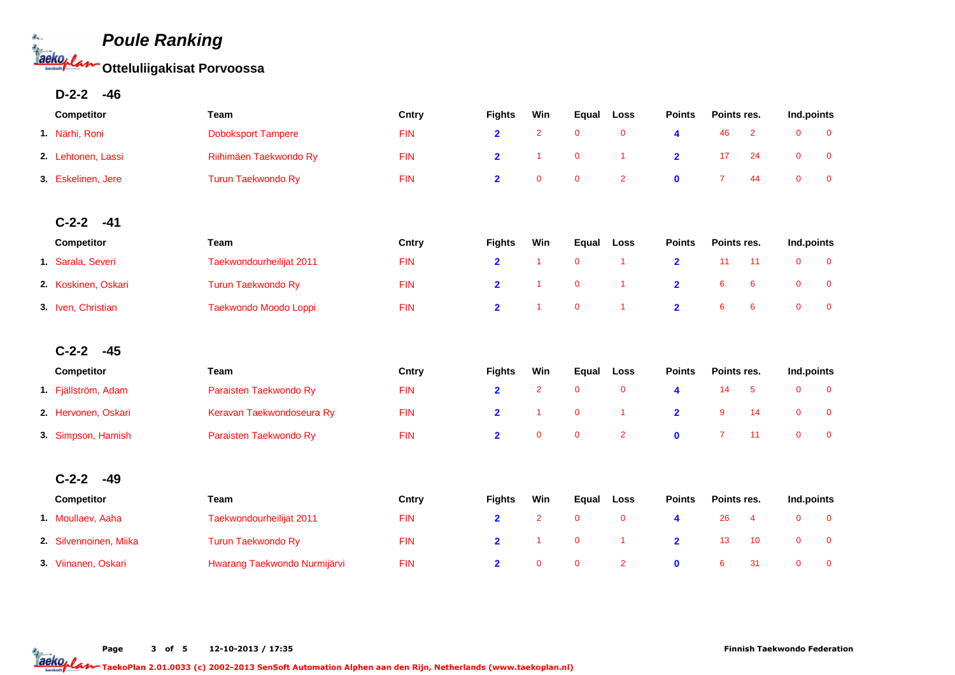

**D-2-2 -46**

| Competitor             | Team                         | Cntry      | <b>Fights</b>           | Win            | Equal        | Loss           | <b>Points</b>  | Points res.    |                         | Ind.points   |                |
|------------------------|------------------------------|------------|-------------------------|----------------|--------------|----------------|----------------|----------------|-------------------------|--------------|----------------|
| 1. Närhi, Roni         | <b>Doboksport Tampere</b>    | <b>FIN</b> | $\overline{2}$          | $\overline{2}$ | $\mathbf 0$  | $\mathbf 0$    | 4              | 46             | $\overline{2}$          | $\mathbf{0}$ | $\mathbf 0$    |
| 2. Lehtonen, Lassi     | Riihimäen Taekwondo Ry       | <b>FIN</b> | $\overline{\mathbf{2}}$ | $\mathbf{1}$   | $\mathbf 0$  | $\overline{1}$ | $\overline{2}$ | 17             | 24                      | $\mathbf 0$  | $\mathbf 0$    |
| 3. Eskelinen, Jere     | <b>Turun Taekwondo Ry</b>    | <b>FIN</b> | $\overline{\mathbf{2}}$ | $\mathbf 0$    | $\mathbf 0$  | $\overline{2}$ | $\mathbf 0$    | $\overline{7}$ | 44                      | $\mathbf 0$  | $\mathbf 0$    |
|                        |                              |            |                         |                |              |                |                |                |                         |              |                |
| $C-2-2$<br>$-41$       |                              |            |                         |                |              |                |                |                |                         |              |                |
| Competitor             | <b>Team</b>                  | Cntry      | <b>Fights</b>           | Win            | Equal        | Loss           | <b>Points</b>  | Points res.    |                         | Ind.points   |                |
| 1. Sarala, Severi      | Taekwondourheilijat 2011     | <b>FIN</b> | $\overline{\mathbf{2}}$ | 1              | $\mathbf 0$  | $\overline{1}$ | $\overline{2}$ | 11             | 11                      | $\mathbf 0$  | $\overline{0}$ |
| 2. Koskinen, Oskari    | <b>Turun Taekwondo Ry</b>    | <b>FIN</b> | $\overline{2}$          | $\overline{1}$ | $\mathbf 0$  | $\overline{1}$ | $\overline{2}$ | 6              | 6                       | $\mathbf 0$  | $\mathbf 0$    |
| 3. Iven, Christian     | Taekwondo Moodo Loppi        | <b>FIN</b> | $\overline{2}$          | 1              | $\mathbf 0$  | $\overline{1}$ | $\overline{2}$ | 6              | 6                       | $\mathbf 0$  | $\mathbf 0$    |
|                        |                              |            |                         |                |              |                |                |                |                         |              |                |
| $C-2-2$<br>$-45$       |                              |            |                         |                |              |                |                |                |                         |              |                |
| Competitor             | Team                         | Cntry      | <b>Fights</b>           | Win            | Equal        | Loss           | <b>Points</b>  | Points res.    |                         | Ind.points   |                |
| 1. Fjällström, Adam    | Paraisten Taekwondo Ry       | <b>FIN</b> | $\overline{2}$          | $\overline{2}$ | $\mathbf 0$  | $\mathbf 0$    | 4              | 14             | $5\phantom{.0}$         | $\mathbf 0$  | $\mathbf 0$    |
| 2. Hervonen, Oskari    | Keravan Taekwondoseura Ry    | <b>FIN</b> | $\overline{2}$          | 1              | $\mathbf 0$  | $\overline{1}$ | $\overline{2}$ | 9              | 14                      | $\mathbf 0$  | $\mathbf 0$    |
| 3. Simpson, Hamish     | Paraisten Taekwondo Ry       | <b>FIN</b> | $\overline{\mathbf{2}}$ | $\overline{0}$ | $\mathbf 0$  | $\overline{2}$ | $\mathbf 0$    | $\overline{7}$ | 11                      | $\mathbf{0}$ | $\mathbf 0$    |
| $C-2-2$<br>$-49$       |                              |            |                         |                |              |                |                |                |                         |              |                |
| Competitor             | Team                         | Cntry      | <b>Fights</b>           | Win            | Equal        | Loss           | <b>Points</b>  | Points res.    |                         | Ind.points   |                |
| 1. Moullaev, Aaha      | Taekwondourheilijat 2011     | <b>FIN</b> | $\overline{\mathbf{2}}$ | $\overline{2}$ | $\mathbf 0$  | $\mathbf 0$    | 4              | 26             | $\overline{\mathbf{4}}$ | $\mathbf 0$  | $\mathbf 0$    |
| 2. Silvennoinen, Miika | <b>Turun Taekwondo Ry</b>    | <b>FIN</b> | $\overline{2}$          | $\mathbf{1}$   | $\mathbf 0$  | $\overline{1}$ | $\overline{2}$ | 13             | 10                      | $\mathbf 0$  | $\mathbf 0$    |
| 3 Viinanen, Oskari     | Hwarang Taekwondo Nurmijärvi | <b>FIN</b> | $\overline{2}$          | $\overline{0}$ | $\mathbf{0}$ | $\overline{2}$ | $\mathbf{0}$   | 6              | 31                      | $\mathbf{0}$ | $\overline{0}$ |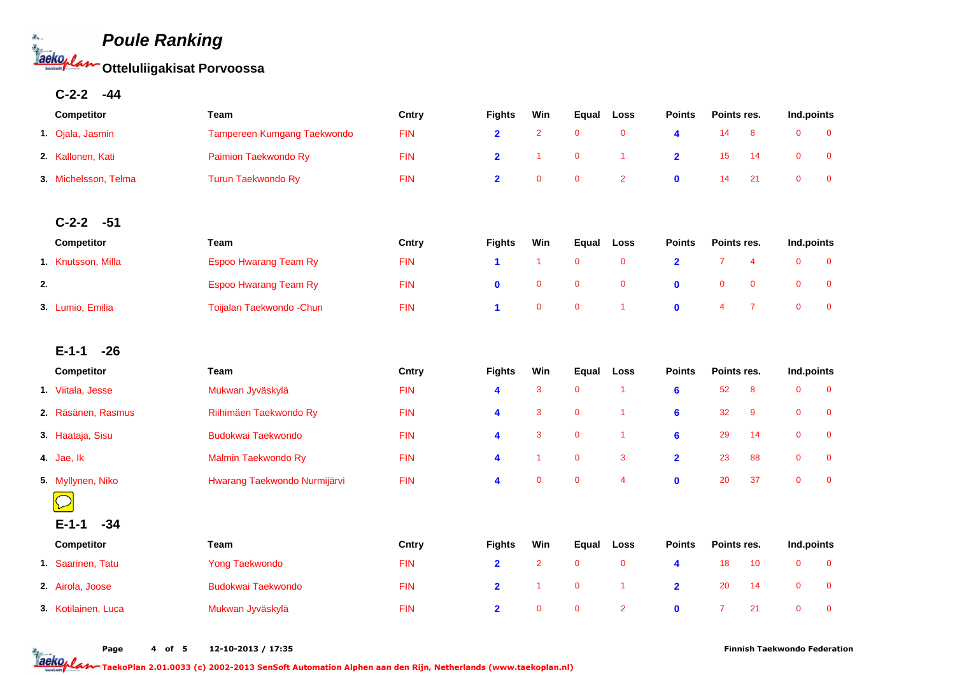

**C-2-2 -44**

| <b>Competitor</b>    | Team                               | Cntry      | <b>Fights</b> | Win | Equal                   | Loss | <b>Points</b> | Points res. | Ind.points |  |
|----------------------|------------------------------------|------------|---------------|-----|-------------------------|------|---------------|-------------|------------|--|
| 1. Ojala, Jasmin     | <b>Tampereen Kumgang Taekwondo</b> | <b>FIN</b> |               |     | $\overline{\mathbf{0}}$ |      |               | 14          |            |  |
| 2. Kallonen, Kati    | Paimion Taekwondo Ry               | <b>FIN</b> |               |     | $\Omega$                |      |               | 15          |            |  |
| 3. Michelsson, Telma | Turun Taekwondo Ry                 | <b>FIN</b> |               |     | $\Omega$                |      |               | 14.         |            |  |

### **C-2-2 -51**

|    | <b>Competitor</b>  | Team                         | Cntry      | <b>Fights</b> | Win | Equal | Loss         | <b>Points</b> | Points res. |     | Ind.points |  |
|----|--------------------|------------------------------|------------|---------------|-----|-------|--------------|---------------|-------------|-----|------------|--|
|    | 1. Knutsson, Milla | <b>Espoo Hwarang Team Ry</b> | <b>FIN</b> |               |     |       |              |               |             |     |            |  |
| 2. |                    | <b>Espoo Hwarang Team Ry</b> | <b>FIN</b> |               | 0   | - 0   | $\mathbf{0}$ | $\mathbf{a}$  |             | - 0 |            |  |
|    | 3. Lumio, Emilia   | Toijalan Taekwondo - Chun    | <b>FIN</b> |               | 0   | -0    |              | $\mathbf{a}$  |             |     |            |  |

# **E-1-1 -26**

|                                                      | <b>Competitor</b>  | Team                         | Cntry      | Win<br><b>Fights</b> |              | Loss<br>Equal  |   | <b>Points</b> | Points res. |    | Ind.points   |                         |
|------------------------------------------------------|--------------------|------------------------------|------------|----------------------|--------------|----------------|---|---------------|-------------|----|--------------|-------------------------|
| ь.                                                   | Viitala, Jesse     | Mukwan Jyväskylä             | <b>FIN</b> | 4                    | 3            | $\mathbf 0$    |   | 6             | 52          | 8  | 0            | $\overline{\mathbf{0}}$ |
|                                                      | 2. Räsänen, Rasmus | Riihimäen Taekwondo Ry       | <b>FIN</b> | 4                    | 3            | $\mathbf{0}$   |   | 6             | 32          | -9 | $\mathbf{0}$ | $\Omega$                |
|                                                      | 3. Haataja, Sisu   | <b>Budokwai Taekwondo</b>    | <b>FIN</b> | 4                    | 3            | $\overline{0}$ |   | 6             | 29          | 14 | $\mathbf{0}$ | $\Omega$                |
|                                                      | 4. Jae, lk         | Malmin Taekwondo Ry          | <b>FIN</b> | 4                    |              | $\mathbf{0}$   | 3 | $\mathbf{2}$  | 23          | 88 | $\mathbf{0}$ | - 0                     |
|                                                      | 5. Myllynen, Niko  | Hwarang Taekwondo Nurmijärvi | <b>FIN</b> | 4                    | $\mathbf{0}$ | $\mathbf 0$    | 4 | $\mathbf 0$   | 20          | 37 | $\mathbf{0}$ | - 0                     |
| $\overline{\phantom{0}}$<br>$\overline{\phantom{0}}$ |                    |                              |            |                      |              |                |   |               |             |    |              |                         |

| $E-1-1$<br>$-34$    |                    |            |               |          |              |              |                |             |     |            |  |
|---------------------|--------------------|------------|---------------|----------|--------------|--------------|----------------|-------------|-----|------------|--|
| <b>Competitor</b>   | Team               | Cntry      | <b>Fights</b> | Win      | Equal        | Loss         | <b>Points</b>  | Points res. |     | Ind.points |  |
| 1. Saarinen, Tatu   | Yong Taekwondo     | <b>FIN</b> |               |          | $\Omega$     | $\mathbf{0}$ |                | 18          | 10  |            |  |
| 2. Airola, Joose    | Budokwai Taekwondo | <b>FIN</b> |               |          | $\mathbf{0}$ |              | $\mathbf{2}^-$ | 20          | 14  |            |  |
| 3. Kotilainen, Luca | Mukwan Jyväskylä   | <b>FIN</b> |               | $\Omega$ | $\mathbf{0}$ | $\mathbf{2}$ | 0              |             | -21 |            |  |

Page 4 of 5 12-10-2013 / 17:35